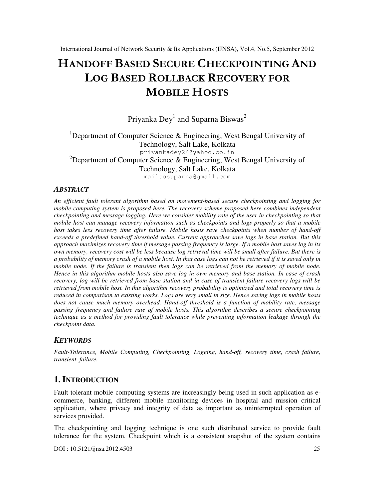# HANDOFF BASED SECURE CHECKPOINTING AND LOG BASED ROLLBACK RECOVERY FOR MOBILE HOSTS

Priyanka Dey $^1$  and Suparna Biswas $^2$ 

<sup>1</sup>Department of Computer Science & Engineering, West Bengal University of Technology, Salt Lake, Kolkata priyankadey24@yahoo.co.in <sup>2</sup>Department of Computer Science & Engineering, West Bengal University of Technology, Salt Lake, Kolkata mailtosuparna@gmail.com

#### *ABSTRACT*

*An efficient fault tolerant algorithm based on movement-based secure checkpointing and logging for mobile computing system is proposed here. The recovery scheme proposed here combines independent checkpointing and message logging. Here we consider mobility rate of the user in checkpointing so that mobile host can manage recovery information such as checkpoints and logs properly so that a mobile*  host takes less recovery time after failure. Mobile hosts save checkpoints when number of hand-off *exceeds a predefined hand-off threshold value. Current approaches save logs in base station. But this approach maximizes recovery time if message passing frequency is large. If a mobile host saves log in its own memory, recovery cost will be less because log retrieval time will be small after failure. But there is a probability of memory crash of a mobile host. In that case logs can not be retrieved if it is saved only in mobile node. If the failure is transient then logs can be retrieved from the memory of mobile node. Hence in this algorithm mobile hosts also save log in own memory and base station. In case of crash recovery, log will be retrieved from base station and in case of transient failure recovery logs will be retrieved from mobile host. In this algorithm recovery probability is optimized and total recovery time is reduced in comparison to existing works. Logs are very small in size. Hence saving logs in mobile hosts does not cause much memory overhead. Hand-off threshold is a function of mobility rate, message passing frequency and failure rate of mobile hosts. This algorithm describes a secure checkpointing technique as a method for providing fault tolerance while preventing information leakage through the checkpoint data.* 

## *KEYWORDS*

*Fault-Tolerance, Mobile Computing, Checkpointing, Logging, hand-off, recovery time, crash failure, transient failure.* 

#### **1. INTRODUCTION**

Fault tolerant mobile computing systems are increasingly being used in such application as ecommerce, banking, different mobile monitoring devices in hospital and mission critical application, where privacy and integrity of data as important as uninterrupted operation of services provided.

The checkpointing and logging technique is one such distributed service to provide fault tolerance for the system. Checkpoint which is a consistent snapshot of the system contains

DOI : 10.5121/ijnsa.2012.4503 25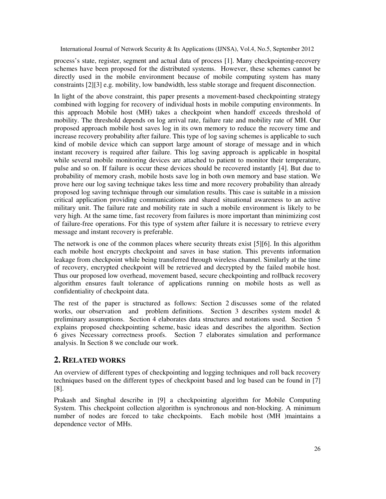process's state, register, segment and actual data of process [1]. Many checkpointing-recovery schemes have been proposed for the distributed systems. However, these schemes cannot be directly used in the mobile environment because of mobile computing system has many constraints [2][3] e.g. mobility, low bandwidth, less stable storage and frequent disconnection.

In light of the above constraint, this paper presents a movement-based checkpointing strategy combined with logging for recovery of individual hosts in mobile computing environments. In this approach Mobile host (MH) takes a checkpoint when handoff exceeds threshold of mobility. The threshold depends on log arrival rate, failure rate and mobility rate of MH. Our proposed approach mobile host saves log in its own memory to reduce the recovery time and increase recovery probability after failure. This type of log saving schemes is applicable to such kind of mobile device which can support large amount of storage of message and in which instant recovery is required after failure. This log saving approach is applicable in hospital while several mobile monitoring devices are attached to patient to monitor their temperature, pulse and so on. If failure is occur these devices should be recovered instantly [4]. But due to probability of memory crash, mobile hosts save log in both own memory and base station. We prove here our log saving technique takes less time and more recovery probability than already proposed log saving technique through our simulation results. This case is suitable in a mission critical application providing communications and shared situational awareness to an active military unit. The failure rate and mobility rate in such a mobile environment is likely to be very high. At the same time, fast recovery from failures is more important than minimizing cost of failure-free operations. For this type of system after failure it is necessary to retrieve every message and instant recovery is preferable.

The network is one of the common places where security threats exist [5][6]. In this algorithm each mobile host encrypts checkpoint and saves in base station. This prevents information leakage from checkpoint while being transferred through wireless channel. Similarly at the time of recovery, encrypted checkpoint will be retrieved and decrypted by the failed mobile host. Thus our proposed low overhead, movement based, secure checkpointing and rollback recovery algorithm ensures fault tolerance of applications running on mobile hosts as well as confidentiality of checkpoint data.

The rest of the paper is structured as follows: Section 2 discusses some of the related works, our observation and problem definitions. Section 3 describes system model  $\&$ preliminary assumptions. Section 4 elaborates data structures and notations used. Section 5 explains proposed checkpointing scheme, basic ideas and describes the algorithm. Section 6 gives Necessary correctness proofs. Section 7 elaborates simulation and performance analysis. In Section 8 we conclude our work.

# **2. RELATED WORKS**

An overview of different types of checkpointing and logging techniques and roll back recovery techniques based on the different types of checkpoint based and log based can be found in [7] [8].

Prakash and Singhal describe in [9] a checkpointing algorithm for Mobile Computing System. This checkpoint collection algorithm is synchronous and non-blocking. A minimum number of nodes are forced to take checkpoints. Each mobile host (MH )maintains a dependence vector of MHs.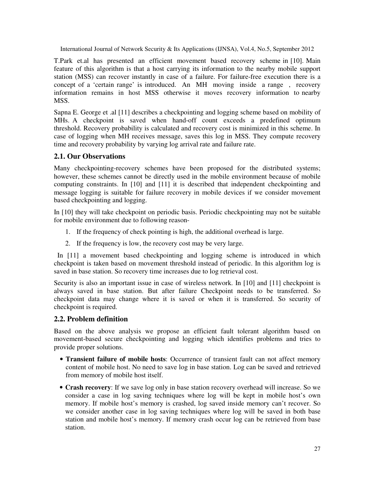T.Park et.al has presented an efficient movement based recovery scheme in [10]. Main feature of this algorithm is that a host carrying its information to the nearby mobile support station (MSS) can recover instantly in case of a failure. For failure-free execution there is a concept of a 'certain range' is introduced. An MH moving inside a range , recovery information remains in host MSS otherwise it moves recovery information to nearby MSS.

Sapna E. George et .al [11] describes a checkpointing and logging scheme based on mobility of MHs. A checkpoint is saved when hand-off count exceeds a predefined optimum threshold. Recovery probability is calculated and recovery cost is minimized in this scheme. In case of logging when MH receives message, saves this log in MSS. They compute recovery time and recovery probability by varying log arrival rate and failure rate.

#### **2.1. Our Observations**

Many checkpointing-recovery schemes have been proposed for the distributed systems; however, these schemes cannot be directly used in the mobile environment because of mobile computing constraints. In [10] and [11] it is described that independent checkpointing and message logging is suitable for failure recovery in mobile devices if we consider movement based checkpointing and logging.

In [10] they will take checkpoint on periodic basis. Periodic checkpointing may not be suitable for mobile environment due to following reason-

- 1. If the frequency of check pointing is high, the additional overhead is large.
- 2. If the frequency is low, the recovery cost may be very large.

 In [11] a movement based checkpointing and logging scheme is introduced in which checkpoint is taken based on movement threshold instead of periodic. In this algorithm log is saved in base station. So recovery time increases due to log retrieval cost.

Security is also an important issue in case of wireless network. In [10] and [11] checkpoint is always saved in base station. But after failure Checkpoint needs to be transferred. So checkpoint data may change where it is saved or when it is transferred. So security of checkpoint is required.

#### **2.2. Problem definition**

Based on the above analysis we propose an efficient fault tolerant algorithm based on movement-based secure checkpointing and logging which identifies problems and tries to provide proper solutions.

- **Transient failure of mobile hosts**: Occurrence of transient fault can not affect memory content of mobile host. No need to save log in base station. Log can be saved and retrieved from memory of mobile host itself.
- **Crash recovery**: If we save log only in base station recovery overhead will increase. So we consider a case in log saving techniques where log will be kept in mobile host's own memory. If mobile host's memory is crashed, log saved inside memory can't recover. So we consider another case in log saving techniques where log will be saved in both base station and mobile host's memory. If memory crash occur log can be retrieved from base station.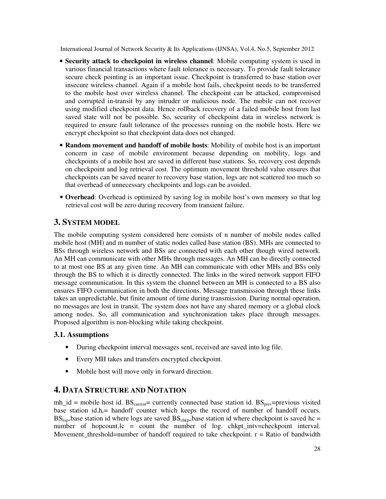- **Security attack to checkpoint in wireless channel**: Mobile computing system is used in various financial transactions where fault tolerance is necessary. To provide fault tolerance secure check pointing is an important issue. Checkpoint is transferred to base station over insecure wireless channel. Again if a mobile host fails, checkpoint needs to be transferred to the mobile host over wireless channel. The checkpoint can be attacked, compromised and corrupted in-transit by any intruder or malicious node. The mobile can not recover using modified checkpoint data. Hence rollback recovery of a failed mobile host from last saved state will not be possible. So, security of checkpoint data in wireless network is required to ensure fault tolerance of the processes running on the mobile hosts. Here we encrypt checkpoint so that checkpoint data does not changed.
- **Random movement and handoff of mobile hosts**: Mobility of mobile host is an important concern in case of mobile environment because depending on mobility, logs and checkpoints of a mobile host are saved in different base stations. So, recovery cost depends on checkpoint and log retrieval cost. The optimum movement threshold value ensures that checkpoints can be saved nearer to recovery base station, logs are not scattered too much so that overhead of unnecessary checkpoints and logs can be avoided.
- **Overhead**: Overhead is optimized by saving log in mobile host's own memory so that log retrieval cost will be zero during recovery from transient failure.

# **3. SYSTEM MODEL**

The mobile computing system considered here consists of n number of mobile nodes called mobile host (MH) and m number of static nodes called base station (BS). MHs are connected to BSs through wireless network and BSs are connected with each other though wired network. An MH can communicate with other MHs through messages. An MH can be directly connected to at most one BS at any given time. An MH can communicate with other MHs and BSs only through the BS to which it is directly connected. The links in the wired network support FIFO message communication. In this system the channel between an MH is connected to a BS also ensures FIFO communication in both the directions. Message transmission through these links takes an unpredictable, but finite amount of time during transmission. During normal operation, no messages are lost in transit. The system does not have any shared memory or a global clock among nodes. So, all communication and synchronization takes place through messages. Proposed algorithm is non-blocking while taking checkpoint.

## **3.1. Assumptions**

- During checkpoint interval messages sent, received are saved into log file.
- Every MH takes and transfers encrypted checkpoint.
- Mobile host will move only in forward direction.

# **4. DATA STRUCTURE AND NOTATION**

 $mh_id = mobile host id. BS<sub>current</sub> = currently connected base station id. BS<sub>prev</sub> = previous visited$ base station id.h<sub>c</sub>= handoff counter which keeps the record of number of handoff occurs.  $BS_{\text{loop}}$ =base station id where logs are saved  $BS_{\text{chko}}$ =base station id where checkpoint is saved hc = number of hopcount.lc = count the number of log. chkpt\_intv=checkpoint interval. Movement\_threshold=number of handoff required to take checkpoint.  $r =$  Ratio of bandwidth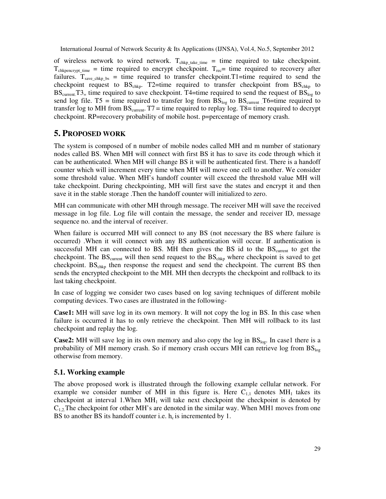of wireless network to wired network.  $T_{\text{chkp\_take\_time}} =$  time required to take checkpoint.  $T_{\text{chkpencrypt_time}}$  = time required to encrypt checkpoint.  $T_{\text{rec}}$  = time required to recovery after failures.  $T_{\text{save\_chkp\_bs}}$  = time required to transfer checkpoint. T1=time required to send the checkpoint request to  $BS<sub>chk</sub>$ . T2=time required to transfer checkpoint from  $BS<sub>chk</sub>$  to  $BS<sub>current</sub> T3<sub>=</sub>$  time required to save checkpoint. T4=time required to send the request of  $BS<sub>log</sub>$  to send log file. T5 = time required to transfer log from  $BS_{log}$  to  $BS_{current}$ . T6=time required to transfer log to MH from  $BS<sub>current</sub>$ . T7 = time required to replay log. T8 = time required to decrypt checkpoint. RP=recovery probability of mobile host. p=percentage of memory crash.

# **5. PROPOSED WORK**

The system is composed of n number of mobile nodes called MH and m number of stationary nodes called BS. When MH will connect with first BS it has to save its code through which it can be authenticated. When MH will change BS it will be authenticated first. There is a handoff counter which will increment every time when MH will move one cell to another. We consider some threshold value. When MH's handoff counter will exceed the threshold value MH will take checkpoint. During checkpointing, MH will first save the states and encrypt it and then save it in the stable storage .Then the handoff counter will initialized to zero.

MH can communicate with other MH through message. The receiver MH will save the received message in log file. Log file will contain the message, the sender and receiver ID, message sequence no. and the interval of receiver.

When failure is occurred MH will connect to any BS (not necessary the BS where failure is occurred) .When it will connect with any BS authentication will occur. If authentication is successful MH can connected to BS. MH then gives the BS id to the  $BS<sub>current</sub>$  to get the checkpoint. The  $BS_{\text{current}}$  will then send request to the  $BS_{\text{chkp}}$  where checkpoint is saved to get checkpoint. BS<sub>chkp</sub> then response the request and send the checkpoint. The current BS then sends the encrypted checkpoint to the MH. MH then decrypts the checkpoint and rollback to its last taking checkpoint.

In case of logging we consider two cases based on log saving techniques of different mobile computing devices. Two cases are illustrated in the following-

**Case1:** MH will save log in its own memory. It will not copy the log in BS. In this case when failure is occurred it has to only retrieve the checkpoint. Then MH will rollback to its last checkpoint and replay the log.

**Case2:** MH will save log in its own memory and also copy the log in BS<sub>log</sub>. In case1 there is a probability of MH memory crash. So if memory crash occurs MH can retrieve log from  $BS_{\text{log}}$ otherwise from memory.

## **5.1. Working example**

The above proposed work is illustrated through the following example cellular network. For example we consider number of MH in this figure is. Here  $C_{1,1}$  denotes MH<sub>1</sub> takes its checkpoint at interval 1. When  $MH<sub>1</sub>$  will take next checkpoint the checkpoint is denoted by  $C_{1,2}$ . The checkpoint for other MH's are denoted in the similar way. When MH1 moves from one BS to another BS its handoff counter i.e.  $h_c$  is incremented by 1.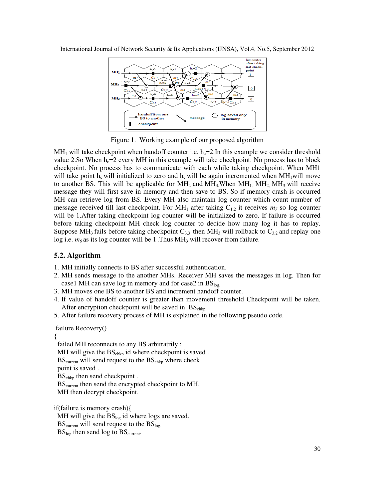

Figure 1. Working example of our proposed algorithm

MH<sub>1</sub> will take checkpoint when handoff counter i.e.  $h<sub>c</sub>=2$ . In this example we consider threshold value 2.So When  $h<sub>c</sub>=2$  every MH in this example will take checkpoint. No process has to block checkpoint. No process has to communicate with each while taking checkpoint. When MH1 will take point h<sub>c</sub> will initialized to zero and h<sub>c</sub> will be again incremented when MH<sub>1</sub>will move to another BS. This will be applicable for  $MH_2$  and  $MH_3$ . When  $MH_1$ ,  $MH_2$ ,  $MH_3$  will receive message they will first save in memory and then save to BS. So if memory crash is occurred MH can retrieve log from BS. Every MH also maintain log counter which count number of message received till last checkpoint. For  $MH_1$  after taking  $C_{1,2}$  it receives  $m_7$  so log counter will be 1.After taking checkpoint log counter will be initialized to zero. If failure is occurred before taking checkpoint MH check log counter to decide how many log it has to replay. Suppose MH<sub>3</sub> fails before taking checkpoint  $C_{3,3}$  then MH<sub>3</sub> will rollback to  $C_{3,2}$  and replay one log i.e.  $m_6$  as its log counter will be 1. Thus  $MH_3$  will recover from failure.

#### **5.2. Algorithm**

- 1. MH initially connects to BS after successful authentication.
- 2. MH sends message to the another MHs. Receiver MH saves the messages in log. Then for case1 MH can save log in memory and for case2 in  $BS<sub>log</sub>$ .
- 3. MH moves one BS to another BS and increment handoff counter.
- 4. If value of handoff counter is greater than movement threshold Checkpoint will be taken. After encryption checkpoint will be saved in  $BS<sub>chkp</sub>$ .
- 5. After failure recovery process of MH is explained in the following pseudo code.

```
 failure Recovery()
```
{

 failed MH reconnects to any BS arbitratrily ; MH will give the  $BS<sub>chkp</sub>$  id where checkpoint is saved.  $BS<sub>current</sub>$  will send request to the  $BS<sub>chkp</sub>$  where check point is saved . BS<sub>chkp</sub> then send checkpoint. BS<sub>current</sub> then send the encrypted checkpoint to MH.

MH then decrypt checkpoint.

if(failure is memory crash){

MH will give the  $BS<sub>log</sub>$  id where logs are saved.

```
BS<sub>current</sub> will send request to the BS<sub>log</sub>.
```

```
BS<sub>log</sub> then send log to BS<sub>current</sub>.
```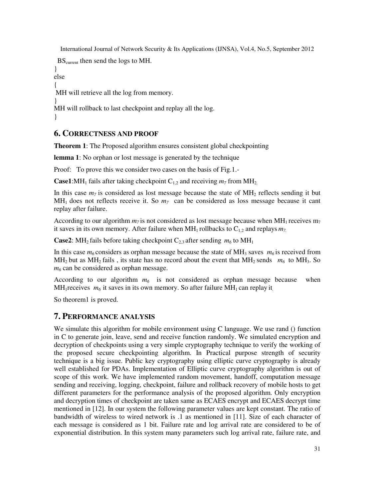BScurrent then send the logs to MH.

} else { MH will retrieve all the log from memory. } MH will rollback to last checkpoint and replay all the log. }

# **6. CORRECTNESS AND PROOF**

**Theorem 1**: The Proposed algorithm ensures consistent global checkpointing

**lemma 1**: No orphan or lost message is generated by the technique

Proof: To prove this we consider two cases on the basis of Fig.1.-

**Case1:**MH<sub>1</sub> fails after taking checkpoint  $C_{1,2}$  and receiving  $m_7$  from MH<sub>2</sub>.

In this case  $m<sub>7</sub>$  is considered as lost message because the state of  $MH<sub>2</sub>$  reflects sending it but  $MH<sub>1</sub>$  does not reflects receive it. So  $m<sub>7</sub>$  can be considered as loss message because it cant replay after failure.

According to our algorithm  $m_7$  is not considered as lost message because when MH<sub>1</sub> receives  $m_7$ it saves in its own memory. After failure when  $MH_1$  rollbacks to  $C_{1,2}$  and replays  $m_7$ .

**Case2:** MH<sub>2</sub> fails before taking checkpoint  $C_{2,3}$  after sending  $m_6$  to MH<sub>1</sub>

In this case  $m_6$  considers as orphan message because the state of MH<sub>3</sub> saves  $m_6$  is received from  $MH_2$  but as  $MH_2$  fails, its state has no record about the event that  $MH_2$  sends  $m_6$  to  $MH_3$ . So *m6* can be considered as orphan message.

According to our algorithm  $m<sub>6</sub>$  is not considered as orphan message because when  $MH_1$  receives  $m_6$  it saves in its own memory. So after failure  $MH_1$  can replay it

So theorem1 is proved.

# **7. PERFORMANCE ANALYSIS**

We simulate this algorithm for mobile environment using C language. We use rand () function in C to generate join, leave, send and receive function randomly. We simulated encryption and decryption of checkpoints using a very simple cryptography technique to verify the working of the proposed secure checkpointing algorithm. In Practical purpose strength of security technique is a big issue. Public key cryptography using elliptic curve cryptography is already well established for PDAs. Implementation of Elliptic curve cryptography algorithm is out of scope of this work. We have implemented random movement, handoff, computation message sending and receiving, logging, checkpoint, failure and rollback recovery of mobile hosts to get different parameters for the performance analysis of the proposed algorithm. Only encryption and decryption times of checkpoint are taken same as ECAES encrypt and ECAES decrypt time mentioned in [12]. In our system the following parameter values are kept constant. The ratio of bandwidth of wireless to wired network is .1 as mentioned in [11]. Size of each character of each message is considered as 1 bit. Failure rate and log arrival rate are considered to be of exponential distribution. In this system many parameters such log arrival rate, failure rate, and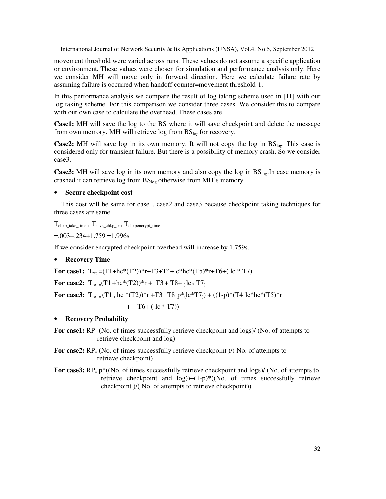movement threshold were varied across runs. These values do not assume a specific application or environment. These values were chosen for simulation and performance analysis only. Here we consider MH will move only in forward direction. Here we calculate failure rate by assuming failure is occurred when handoff counter=movement threshold-1.

In this performance analysis we compare the result of log taking scheme used in [11] with our log taking scheme. For this comparison we consider three cases. We consider this to compare with our own case to calculate the overhead. These cases are

**Case1:** MH will save the log to the BS where it will save checkpoint and delete the message from own memory. MH will retrieve log from  $BS<sub>log</sub>$  for recovery.

**Case2:** MH will save log in its own memory. It will not copy the log in  $BS<sub>log</sub>$ . This case is considered only for transient failure. But there is a possibility of memory crash. So we consider case3.

**Case3:** MH will save log in its own memory and also copy the log in  $BS_{\text{log}}$ . In case memory is crashed it can retrieve log from  $BS_{log}$  otherwise from MH's memory.

#### • **Secure checkpoint cost**

 This cost will be same for case1, case2 and case3 because checkpoint taking techniques for three cases are same.

 $T_{\text{chkp\_take\_time}} + T_{\text{save\_chkp\_bs+}} + T_{\text{chkp} \text{energy} \text{time}}$ 

 $= 0.003 + 0.234 + 1.759 = 1.996s$ 

If we consider encrypted checkpoint overhead will increase by 1.759s.

#### • **Recovery Time**

**For case1:**  $T_{rec} = (T1 + hc*(T2))^*r + T3 + T4 + lc*hc*(T5)^*r + T6 + (lc * T7)$ 

**For case2:**  $T_{\text{rec}} = (T1 + hc^*(T2))^*r + T3 + T8 + (1c * T7)$ 

**For case3:**  $T_{\text{rec}} = (T1 + hc^{*}(T2))^{*}r + T3 + T8 + p^{*}(lc^{*}T7)) + ((1-p)^{*}(T4 + lc^{*}hc^{*}(T5))^{*}r$ 

 $+$  T6+ ( lc  $*$  T7))

#### • **Recovery Probability**

**For case1:** RP<sub>=</sub> (No. of times successfully retrieve checkpoint and logs)/ (No. of attempts to retrieve checkpoint and log)

**For case2:**  $RP_$  (No. of times successfully retrieve checkpoint )/(No. of attempts to retrieve checkpoint)

**For case3:**  $RP = p^*((No. of times successfully retrieve checkpoint and logs)/(No. of attempts to$ retrieve checkpoint and  $log$ ))+(1-p)\*((No. of times successfully retrieve checkpoint )/( No. of attempts to retrieve checkpoint))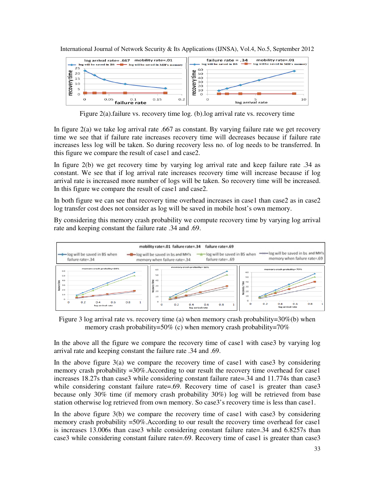

Figure 2(a).failure vs. recovery time log. (b).log arrival rate vs. recovery time

In figure 2(a) we take log arrival rate .667 as constant. By varying failure rate we get recovery time we see that if failure rate increases recovery time will decreases because if failure rate increases less log will be taken. So during recovery less no. of log needs to be transferred. In this figure we compare the result of case1 and case2.

In figure 2(b) we get recovery time by varying log arrival rate and keep failure rate .34 as constant. We see that if log arrival rate increases recovery time will increase because if log arrival rate is increased more number of logs will be taken. So recovery time will be increased. In this figure we compare the result of case1 and case2.

In both figure we can see that recovery time overhead increases in case1 than case2 as in case2 log transfer cost does not consider as log will be saved in mobile host's own memory.

By considering this memory crash probability we compute recovery time by varying log arrival rate and keeping constant the failure rate .34 and .69.



Figure 3 log arrival rate vs. recovery time (a) when memory crash probability=30%(b) when memory crash probability=50% (c) when memory crash probability=70%

In the above all the figure we compare the recovery time of case1 with case3 by varying log arrival rate and keeping constant the failure rate .34 and .69.

In the above figure  $3(a)$  we compare the recovery time of case1 with case3 by considering memory crash probability =30%. According to our result the recovery time overhead for case1 increases 18.27s than case3 while considering constant failure rate=.34 and 11.774s than case3 while considering constant failure rate=.69. Recovery time of case1 is greater than case3 because only 30% time (if memory crash probability 30%) log will be retrieved from base station otherwise log retrieved from own memory. So case3's recovery time is less than case1.

In the above figure 3(b) we compare the recovery time of case1 with case3 by considering memory crash probability =50%.According to our result the recovery time overhead for case1 is increases 13.006s than case3 while considering constant failure rate=.34 and 6.8257s than case3 while considering constant failure rate=.69. Recovery time of case1 is greater than case3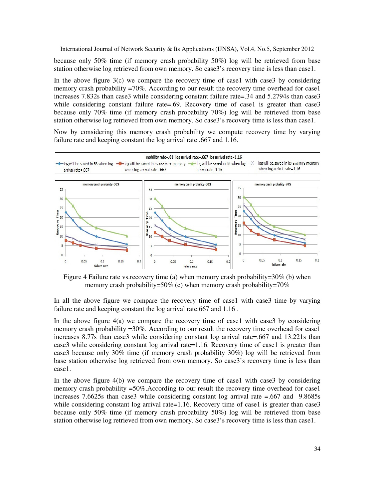because only 50% time (if memory crash probability 50%) log will be retrieved from base station otherwise log retrieved from own memory. So case3's recovery time is less than case1.

In the above figure  $3(c)$  we compare the recovery time of case1 with case3 by considering memory crash probability =70%. According to our result the recovery time overhead for case1 increases 7.832s than case3 while considering constant failure rate=.34 and 5.2794s than case3 while considering constant failure rate=.69. Recovery time of case1 is greater than case3 because only 70% time (if memory crash probability 70%) log will be retrieved from base station otherwise log retrieved from own memory. So case3's recovery time is less than case1.

Now by considering this memory crash probability we compute recovery time by varying failure rate and keeping constant the log arrival rate .667 and 1.16.



Figure 4 Failure rate vs.recovery time (a) when memory crash probability=30% (b) when memory crash probability=50% (c) when memory crash probability=70%

In all the above figure we compare the recovery time of case1 with case3 time by varying failure rate and keeping constant the log arrival rate.667 and 1.16 .

In the above figure 4(a) we compare the recovery time of case1 with case3 by considering memory crash probability =30%. According to our result the recovery time overhead for case1 increases 8.77s than case3 while considering constant log arrival rate=.667 and 13.221s than case3 while considering constant log arrival rate=1.16. Recovery time of case1 is greater than case3 because only 30% time (if memory crash probability 30%) log will be retrieved from base station otherwise log retrieved from own memory. So case3's recovery time is less than case1.

In the above figure 4(b) we compare the recovery time of case1 with case3 by considering memory crash probability =50%.According to our result the recovery time overhead for case1 increases 7.6625s than case3 while considering constant log arrival rate  $=667$  and 9.8685s while considering constant log arrival rate=1.16. Recovery time of case1 is greater than case3 because only 50% time (if memory crash probability 50%) log will be retrieved from base station otherwise log retrieved from own memory. So case3's recovery time is less than case1.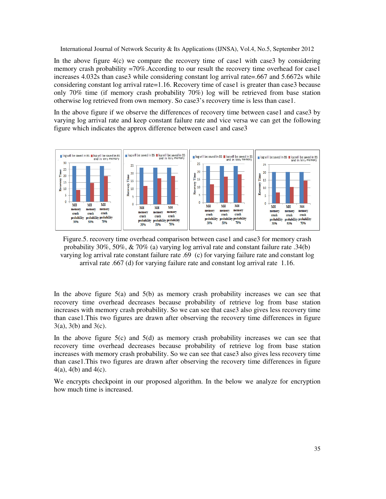In the above figure  $4(c)$  we compare the recovery time of case1 with case3 by considering memory crash probability =70%. According to our result the recovery time overhead for case1 increases 4.032s than case3 while considering constant log arrival rate=.667 and 5.6672s while considering constant log arrival rate=1.16. Recovery time of case1 is greater than case3 because only 70% time (if memory crash probability 70%) log will be retrieved from base station otherwise log retrieved from own memory. So case3's recovery time is less than case1.

In the above figure if we observe the differences of recovery time between case1 and case3 by varying log arrival rate and keep constant failure rate and vice versa we can get the following figure which indicates the approx difference between case1 and case3



Figure.5. recovery time overhead comparison between case1 and case3 for memory crash probability 30%, 50%, & 70% (a) varying log arrival rate and constant failure rate .34(b) varying log arrival rate constant failure rate .69 (c) for varying failure rate and constant log arrival rate .667 (d) for varying failure rate and constant log arrival rate 1.16.

In the above figure  $5(a)$  and  $5(b)$  as memory crash probability increases we can see that recovery time overhead decreases because probability of retrieve log from base station increases with memory crash probability. So we can see that case3 also gives less recovery time than case1.This two figures are drawn after observing the recovery time differences in figure  $3(a)$ ,  $3(b)$  and  $3(c)$ .

In the above figure  $5(c)$  and  $5(d)$  as memory crash probability increases we can see that recovery time overhead decreases because probability of retrieve log from base station increases with memory crash probability. So we can see that case3 also gives less recovery time than case1.This two figures are drawn after observing the recovery time differences in figure  $4(a)$ ,  $4(b)$  and  $4(c)$ .

We encrypts checkpoint in our proposed algorithm. In the below we analyze for encryption how much time is increased.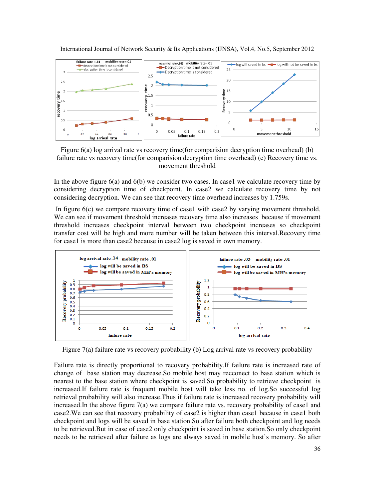

Figure 6(a) log arrival rate vs recovery time(for comparision decryption time overhead) (b) failure rate vs recovery time(for comparision decryption time overhead) (c) Recovery time vs. movement threshold

In the above figure  $6(a)$  and  $6(b)$  we consider two cases. In case1 we calculate recovery time by considering decryption time of checkpoint. In case2 we calculate recovery time by not considering decryption. We can see that recovery time overhead increases by 1.759s.

 In figure 6(c) we compare recovery time of case1 with case2 by varying movement threshold. We can see if movement threshold increases recovery time also increases because if movement threshold increases checkpoint interval between two checkpoint increases so checkpoint transfer cost will be high and more number will be taken between this interval.Recovery time for case1 is more than case2 because in case2 log is saved in own memory.



Figure 7(a) failure rate vs recovery probability (b) Log arrival rate vs recovery probability

Failure rate is directly proportional to recovery probability.If failure rate is increased rate of change of base station may decrease.So mobile host may recconect to base station which is nearest to the base station where checkpoint is saved.So probability to retrieve checkpoint is increased.If failure rate is frequent mobile host will take less no. of log.So successful log retrieval probability will also increase.Thus if failure rate is increased recovery probability will increased.In the above figure 7(a) we compare failure rate vs. recovery probability of case1 and case2.We can see that recovery probability of case2 is higher than case1 because in case1 both checkpoint and logs will be saved in base station.So after failure both checkpoint and log needs to be retrieved.But in case of case2 only checkpoint is saved in base station.So only checkpoint needs to be retrieved after failure as logs are always saved in mobile host's memory. So after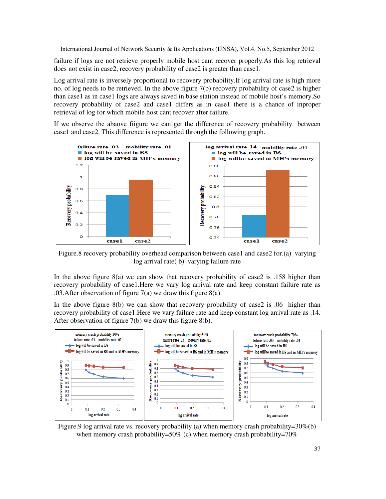failure if logs are not retrieve properly mobile host cant recover properly.As this log retrieval does not exist in case2, recovery probability of case2 is greater than case1.

Log arrival rate is inversely proportional to recovery probability.If log arrival rate is high more no. of log needs to be retrieved. In the above figure 7(b) recovery probability of case2 is higher than case1 as in case1 logs are always saved in base station instead of mobile host's memory.So recovery probability of case2 and case1 differs as in case1 there is a chance of inproper retrieval of log for which mobile host cant recover after failure.

If we observe the abaove fiigure we can get the difference of recovery probability between case1 and case2. This difference is represented through the following graph.



Figure.8 recovery probability overhead comparison between case1 and case2 for.(a) varying log arrival rate( b) varying failure rate

In the above figure  $8(a)$  we can show that recovery probability of case is .158 higher than recovery probability of case1.Here we vary log arrival rate and keep constant failure rate as .03.After observation of figure 7(a) we draw this figure 8(a).

In the above figure 8(b) we can show that recovery probability of case2 is .06 higher than recovery probability of case1.Here we vary failure rate and keep constant log arrival rate as .14. After observation of figure 7(b) we draw this figure 8(b).



Figure.9 log arrival rate vs. recovery probability (a) when memory crash probability=30%(b) when memory crash probability=50% (c) when memory crash probability=70%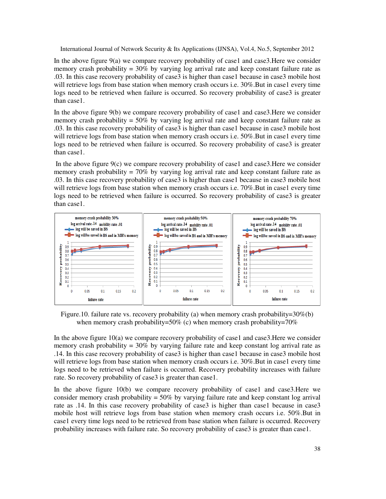In the above figure  $9(a)$  we compare recovery probability of case1 and case3. Here we consider memory crash probability  $= 30\%$  by varying log arrival rate and keep constant failure rate as .03. In this case recovery probability of case3 is higher than case1 because in case3 mobile host will retrieve logs from base station when memory crash occurs i.e. 30%. But in case1 every time logs need to be retrieved when failure is occurred. So recovery probability of case3 is greater than case1.

In the above figure 9(b) we compare recovery probability of case1 and case3. Here we consider memory crash probability =  $50\%$  by varying log arrival rate and keep constant failure rate as .03. In this case recovery probability of case3 is higher than case1 because in case3 mobile host will retrieve logs from base station when memory crash occurs i.e. 50%. But in case1 every time logs need to be retrieved when failure is occurred. So recovery probability of case3 is greater than case1.

In the above figure  $9(c)$  we compare recovery probability of case1 and case3. Here we consider memory crash probability =  $70\%$  by varying log arrival rate and keep constant failure rate as .03. In this case recovery probability of case3 is higher than case1 because in case3 mobile host will retrieve logs from base station when memory crash occurs i.e. 70%. But in case1 every time logs need to be retrieved when failure is occurred. So recovery probability of case3 is greater than case1.



Figure.10. failure rate vs. recovery probability (a) when memory crash probability=30%(b) when memory crash probability=50% (c) when memory crash probability=70%

In the above figure 10(a) we compare recovery probability of case1 and case3.Here we consider memory crash probability =  $30\%$  by varying failure rate and keep constant log arrival rate as .14. In this case recovery probability of case3 is higher than case1 because in case3 mobile host will retrieve logs from base station when memory crash occurs i.e. 30%. But in case1 every time logs need to be retrieved when failure is occurred. Recovery probability increases with failure rate. So recovery probability of case3 is greater than case1.

In the above figure 10(b) we compare recovery probability of case1 and case3.Here we consider memory crash probability  $= 50\%$  by varying failure rate and keep constant log arrival rate as .14. In this case recovery probability of case3 is higher than case1 because in case3 mobile host will retrieve logs from base station when memory crash occurs i.e. 50%.But in case1 every time logs need to be retrieved from base station when failure is occurred. Recovery probability increases with failure rate. So recovery probability of case3 is greater than case1.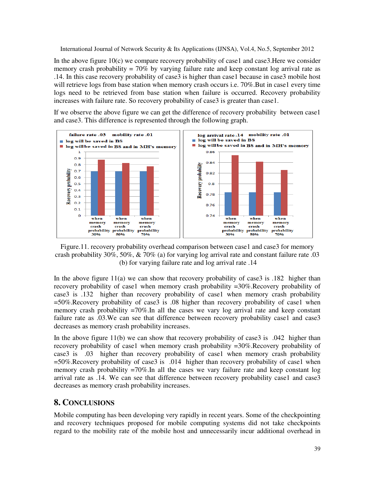In the above figure  $10(c)$  we compare recovery probability of case1 and case3. Here we consider memory crash probability = 70% by varying failure rate and keep constant log arrival rate as .14. In this case recovery probability of case3 is higher than case1 because in case3 mobile host will retrieve logs from base station when memory crash occurs i.e. 70%. But in case1 every time logs need to be retrieved from base station when failure is occurred. Recovery probability increases with failure rate. So recovery probability of case3 is greater than case1.

If we observe the above figure we can get the difference of recovery probability between case1 and case3. This difference is represented through the following graph.



Figure.11. recovery probability overhead comparison between case1 and case3 for memory crash probability 30%, 50%, & 70% (a) for varying log arrival rate and constant failure rate .03 (b) for varying failure rate and log arrival rate .14

In the above figure  $11(a)$  we can show that recovery probability of case 3 is .182 higher than recovery probability of case1 when memory crash probability =30%.Recovery probability of case3 is .132 higher than recovery probability of case1 when memory crash probability =50%.Recovery probability of case3 is .08 higher than recovery probability of case1 when memory crash probability  $=70\%$ . In all the cases we vary log arrival rate and keep constant failure rate as .03.We can see that difference between recovery probability case1 and case3 decreases as memory crash probability increases.

In the above figure 11(b) we can show that recovery probability of case3 is .042 higher than recovery probability of case1 when memory crash probability =30%.Recovery probability of case3 is .03 higher than recovery probability of case1 when memory crash probability =50%.Recovery probability of case3 is .014 higher than recovery probability of case1 when memory crash probability  $=70\%$ . In all the cases we vary failure rate and keep constant log arrival rate as .14. We can see that difference between recovery probability case1 and case3 decreases as memory crash probability increases.

## **8. CONCLUSIONS**

Mobile computing has been developing very rapidly in recent years. Some of the checkpointing and recovery techniques proposed for mobile computing systems did not take checkpoints regard to the mobility rate of the mobile host and unnecessarily incur additional overhead in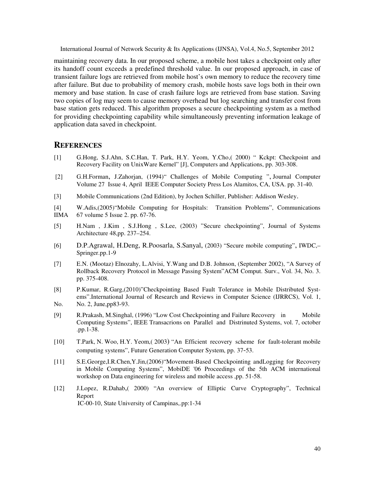maintaining recovery data. In our proposed scheme, a mobile host takes a checkpoint only after its handoff count exceeds a predefined threshold value. In our proposed approach, in case of transient failure logs are retrieved from mobile host's own memory to reduce the recovery time after failure. But due to probability of memory crash, mobile hosts save logs both in their own memory and base station. In case of crash failure logs are retrieved from base station. Saving two copies of log may seem to cause memory overhead but log searching and transfer cost from base station gets reduced. This algorithm proposes a secure checkpointing system as a method for providing checkpointing capability while simultaneously preventing information leakage of application data saved in checkpoint.

#### **REFERENCES**

- [1] G.Hong, S.J.Ahn, S.C.Han, T. Park, H.Y. Yeom, Y.Cho,( 2000) " Kckpt: Checkpoint and Recovery Facility on UnixWare Kernel" [J], Computers and Applications, pp. 303-308.
- [2] G.H.Forman, J.Zahorjan, (1994)" Challenges of Mobile Computing ", Journal Computer Volume 27 Issue 4, April IEEE Computer Society Press Los Alamitos, CA, USA. pp. 31-40.
- [3] Mobile Communications (2nd Edition), by Jochen Schiller, Publisher: Addison Wesley.
- [4] W.Adis,(2005)"Mobile Computing for Hospitals: Transition Problems", Communications  $67$  volume 5 Issue 2. pp.  $67-76$ .
- [5] H.Nam , J.Kim , S.J.Hong , S.Lee, (2003) "Secure checkpointing", Journal of Systems Architecture 48,pp. 237–254.
- [6] D.P.Agrawal, H.Deng, R.Poosarla, S.Sanyal, (2003) "Secure mobile computing", IWDC,– Springer.pp.1-9
- [7] E.N. (Mootaz) Elnozahy, L.Alvisi, Y.Wang and D.B. Johnson, (September 2002), "A Survey of Rollback Recovery Protocol in Message Passing System"ACM Comput. Surv., Vol. 34, No. 3. pp. 375-408.
- [8] P.Kumar, R.Garg,(2010)"Checkpointing Based Fault Tolerance in Mobile Distributed Syst ems".International Journal of Research and Reviews in Computer Science (IJRRCS), Vol. 1, No. No. 2, June,pp83-93.
- [9] R.Prakash, M.Singhal, (1996) "Low Cost Checkpointing and Failure Recovery in Mobile Computing Systems", IEEE Transacrions on Parallel and Distrinuted Systems, vol. 7, october .pp.1-38.
- [10] T.Park, N. Woo, H.Y. Yeom,( 2003) "An Efficient recovery scheme for fault-tolerant mobile computing systems", Future Generation Computer System, pp. 37-53.
- [11] S.E.George,I.R.Chen,Y.Jin,(2006)"Movement-Based Checkpointing andLogging for Recovery in Mobile Computing Systems", MobiDE '06 Proceedings of the 5th ACM international workshop on Data engineering for wireless and mobile access ,pp. 51-58.
- [12] J.Lopez, R.Dahab,( 2000) "An overview of Elliptic Curve Cryptography", Technical Report IC-00-10, State University of Campinas,.pp:1-34